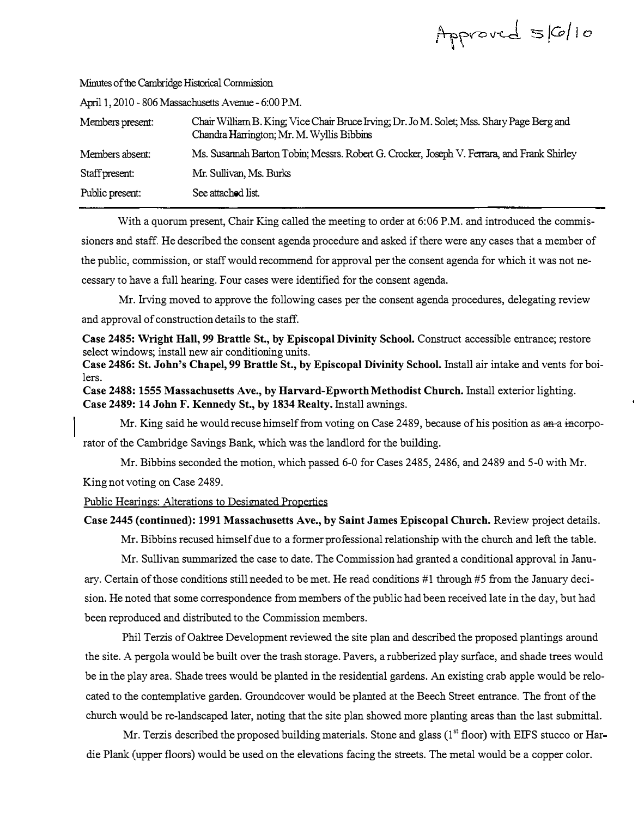| Approved 5/6/10 |  |  |  |  |
|-----------------|--|--|--|--|
|-----------------|--|--|--|--|

| April 1, 2010 - 806 Massachusetts Avenue - 6:00 P.M. |                                                                                                                                        |  |  |  |
|------------------------------------------------------|----------------------------------------------------------------------------------------------------------------------------------------|--|--|--|
| Members present:                                     | Chair William B. King, Vice Chair Bruce Irving; Dr. Jo M. Solet; Mss. Shary Page Berg and<br>Chandra Harrington; Mr. M. Wyllis Bibbins |  |  |  |
| Members absent:                                      | Ms. Susannah Barton Tobin; Messrs. Robert G. Crocker, Joseph V. Ferrara, and Frank Shirley                                             |  |  |  |
| Staff present:                                       | Mr. Sullivan, Ms. Burks                                                                                                                |  |  |  |
| Public present:                                      | See attached list.                                                                                                                     |  |  |  |

:Minutes of the Cambridge Historical Commission

With a quorum present, Chair King called the meeting to order at 6:06 P.M. and introduced the commissioners and staff. He described the consent agenda procedure and asked if there were any cases that a member of the public, commission, or staff would recommend for approval per the consent agenda for which it was not necessary to have a full hearing. Four cases were identified for the consent agenda.

Mr. Irving moved to approve the following cases per the consent agenda procedures, delegating review and approval of construction details to the staff.

Case 2485: Wright Hall, 99 Brattle St., by Episcopal Divinity School. Construct accessible entrance; restore select windows; install new air conditioning units.

Case 2486: St. John's Chapel, 99 Brattle St., by Episcopal Divinity School. Install air intake and vents for boilers.

Case 2488: 1555 Massachusetts Ave., by Harvard-Epworth Methodist Church. Install exterior lighting. Case 2489: 14 John F. Kennedy St., by 1834 Realty. Install awnings.

Mr. King said he would recuse himself from voting on Case 2489, because of his position as an a incorporator of the Cambridge Savings Bank, which was the landlord for the building.

Mr. Bibbins seconded the motion, which passed 6-0 for Cases 2485, 2486, and 2489 and 5-0 with Mr. King not voting on Case 2489.

Public Hearings: Alterations to Designated Properties

# Case 2445 (continued): 1991 Massachusetts Ave., by Saint James Episcopal Church. Review project details.

Mr. Bibbins recused himself due to a former professional relationship with the church and left the table.

Mr. Sullivan summarized the case to date. The Commission had granted a conditional approval in January. Certain of those conditions still needed to be met. He read conditions #1 through #5 from the January decision. He noted that some correspondence from members of the public had been received late in the day, but had been reproduced and distributed to the Commission members.

Phil Terzis of Oaktree Development reviewed the site plan and described the proposed plantings around the site. A pergola would be built over the trash storage. Pavers, a rubberized play surface, and shade trees would be in the play area. Shade trees would be planted in the residential gardens. An existing crab apple would be relocated to the contemplative garden. Groundcover would be planted at the Beech Street entrance. The front of the church would be re-landscaped later, noting that the site plan showed more planting areas than the last submittal.

Mr. Terzis described the proposed building materials. Stone and glass ( $1<sup>st</sup>$  floor) with EIFS stucco or Hardie Plank (upper floors) would be used on the elevations facing the streets. The metal would be a copper color.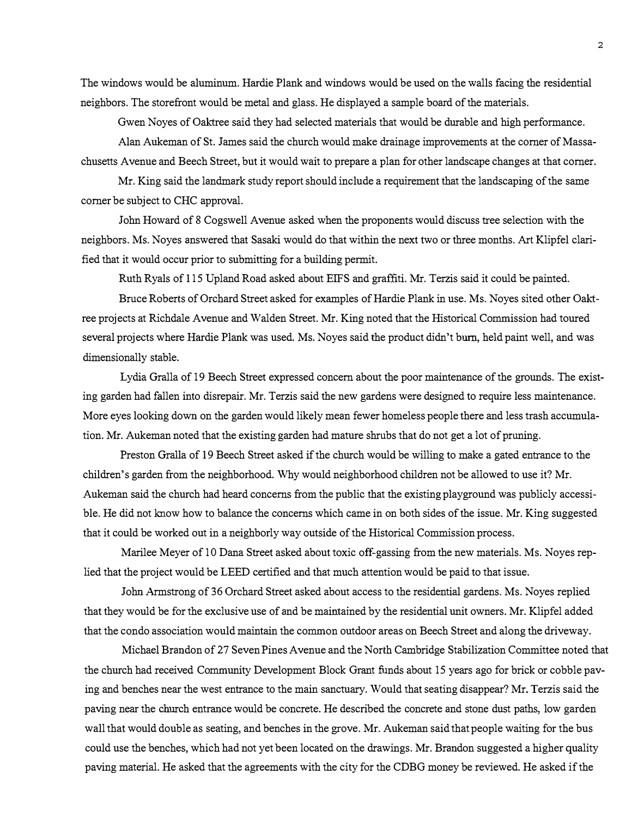The windows would be aluminum. Hardie Plank and windows would be used on the walls facing the residential neighbors. The storefront would be metal and glass. He displayed a sample board of the materials.

Gwen Noyes of Oaktree said they had selected materials that would be durable and high performance.

Alan Aukeman of St. James said the church would make drainage improvements at the corner of Massachusetts Avenue and Beech Street, but it would wait to prepare a plan for other landscape changes at that corner.

Mr. King said the landmark study report should include a requirement that the landscaping of the same corner be subject to CHC approval.

John Howard of 8 Cogswell Avenue asked when the proponents would discuss tree selection with the neighbors. Ms. Noyes answered that Sasaki would do that within the next two or three months. Art Klipfel clarified that it would occur prior to submitting for a building permit.

Ruth Ryals of 115 Upland Road asked about EIFS and graffiti. Mr. Terzis said it could be painted.

Bruce Roberts of Orchard Street asked for examples of Hardie Plank in use. Ms. Noyes sited other Oalctree projects at Richdale Avenue and Walden Street. Mr. King noted that the Historical Commission had toured several projects where Hardie Plank was used. Ms. Noyes said the product didn't burn, held paint well, and was dimensionally stable.

Lydia Oralla of 19 Beech Street expressed concern about the poor maintenance of the grounds. The existing garden had fallen into disrepair. Mr. Terzis said the new gardens were designed to require less maintenance. More eyes looking down on the garden would likely mean fewer homeless people there and less trash accumulation. Mr. Aukeman noted that the existing garden had mature shrubs that do not get a lot of pruning.

Preston Oralla of 19 Beech Street asked if the church would be willing to make a gated entrance to the children's garden from the neighborhood. Why would neighborhood children not be allowed to use it? Mr. Aukeman said the church had heard concerns from the public that the existing playground was publicly accessible. He did not know how to balance the concerns which came in on both sides of the issue. Mr. King suggested that it could be worked out in a neighborly way outside of the Historical Commission process.

Marilee Meyer of 10 Dana Street asked about toxic off-gassing from the new materials. Ms. Noyes replied that the project would be LEED certified and that much attention would be paid to that issue.

John Armstrong of 36 Orchard Street asked about access to the residential gardens. Ms. Noyes replied that they would be for the exclusive use of and be maintained by the residential unit owners. Mr. Klipfel added that the condo association would maintain the common outdoor areas on Beech Street and along the driveway.

Michael Brandon of27 Seven Pines Avenue and the North Cambridge Stabilization Committee noted that the church had received Community Development Block Grant funds about 15 years ago for brick or cobble paving and benches near the west entrance to the main sanctuary. Would that seating disappear? Mr. Terzis said the paving near the church entrance would be concrete. He described the concrete and stone dust paths, low garden wall that would double as seating, and benches in the grove. Mr. Aukeman said that people waiting for the bus could use the benches, which had not yet been located on the drawings. Mr. Brandon suggested a higher quality paving material. He asked that the agreements with the city for the CDBG money be reviewed. He asked if the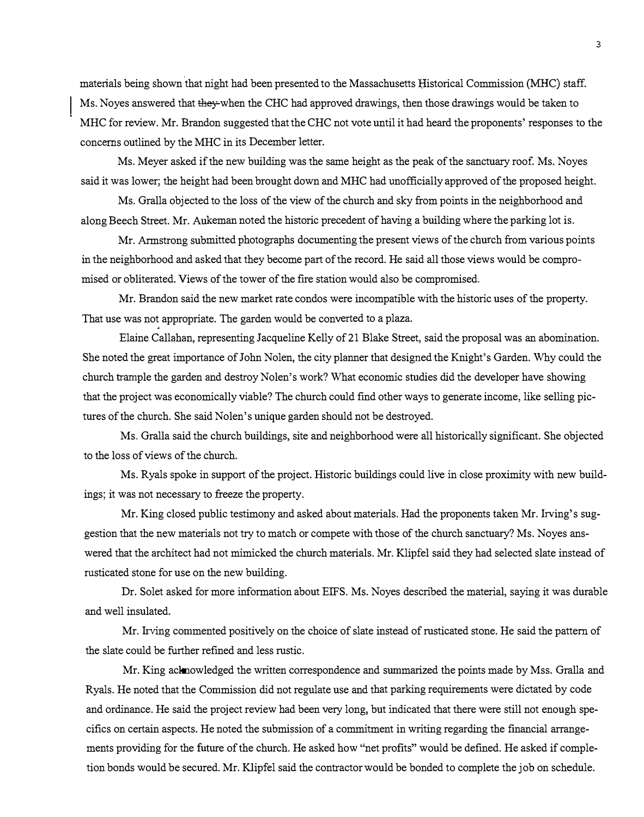materials being shown that night had been presented to the Massachusetts Historical Commission (MHC) staff. Ms. Noyes answered that they-when the CHC had approved drawings, then those drawings would be taken to MHC for review. Mr. Brandon suggested that the CHC not vote until it had heard the proponents' responses to the concerns outlined by the MHC in its December Jetter.

Ms. Meyer asked if the new building was the same height as the peak of the sanctuary roof. Ms. Noyes said it was lower; the height had been brought down and MHC had unofficially approved of the proposed height.

Ms. Gralla objected to the loss of the view of the church and sky from points in the neighborhood and along Beech Street. Mr. Aukeman noted the historic precedent of having a building where the parking lot is.

Mr. Armstrong submitted photographs documenting the present views of the church from various points in the neighborhood and asked that they become part of the record. He said all those views would be compromised or obliterated. Views of the tower of the fire station would also be compromised.

Mr. Brandon said the new market rate condos were incompatible with the historic uses of the property. That use was not appropriate. The garden would be converted to a plaza.

Elaine Callahan, representing Jacqueline Kelly of21 Blake Street, said the proposal was an abomination. She noted the great importance of John Nolen, the city planner that designed the Knight's Garden. Why could the church trample the garden and destroy Nolen's work? What economic studies did the developer have showing that the project was economically viable? The church could find other ways to generate income, like selling pictures of the church. She said Nolen's unique garden should not be destroyed.

Ms. Gralla said the church buildings, site and neighborhood were all historically significant. She objected to the loss of views of the church.

Ms. Ryals spoke in support of the project. Historic buildings could live in close proximity with new buildings; it was not necessary to freeze the property.

Mr. King closed public testimony and asked about materials. Had the proponents taken Mr. Irving's suggestion that the new materials not try to match or compete with those of the church sanctuary? Ms. Noyes answered that the architect had not mimicked the church materials. Mr. Klipfel said they had selected slate instead of rusticated stone for use on the new building.

Dr. Solet asked for more information about EIFS. Ms. Noyes described the material, saying it was durable and well insulated.

Mr. Irving commented positively on the choice of slate instead of rusticated stone. He said the pattern of the slate could be further refined and less rustic.

Mr. King acknowledged the written correspondence and summarized the points made by Mss. Gralla and Ryals. He noted that the Commission did not regulate use and that parking requirements were dictated by code and ordinance. He said the project review had been very long, but indicated that there were still not enough specifics on certain aspects. He noted the submi�sion of a commitment in writing regarding the financial arrangements providing for the future of the church. He asked how "net profits" would be defined. He asked if completion bonds would be secured. Mr. Klipfel said the contractor would be bonded to complete the job on schedule.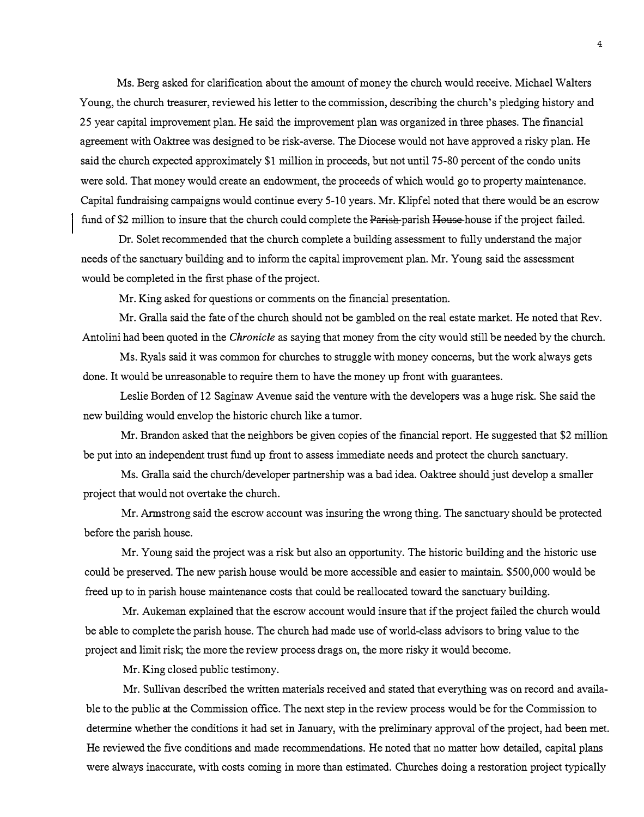Ms. Berg asked for clarification about the amount of money the church would receive. Michael Walters Young, the church treasurer, reviewed his letter to the commission, describing the church's pledging history and 25 year capital improvement plan. He said the improvement plan was organized in three phases. The financial agreement with Oaktree was designed to be risk-averse. The Diocese would not have approved a risky plan. He said the church expected approximately \$1 million in proceeds, but not until 75-80 percent of the condo units were sold. That money would create an endowment, the proceeds of which would go to property maintenance. Capital fundraising campaigns would continue every 5-10 years. Mr. Klipfel noted that there would be an escrow fund of \$2 million to insure that the church could complete the Parish parish House house if the project failed.

Dr. Solet recommended that the church complete a building assessment to fully understand the major needs of the sanctuary building and to inform the capital improvement plan. Mr. Young said the assessment would be completed in the first phase of the project.

Mr. King asked for questions or comments on the financial presentation.

Mr. Gralla said the fate of the church should not be gambled on the real estate market. He noted that Rev. Antolini had been quoted in the *Chronicle* as saying that money from the city would still be needed by the church.

Ms. Ryals said it was common for churches to struggle with money concerns, but the work always gets done. It would be unreasonable to require them to have the money up front with guarantees.

Leslie Borden of 12 Saginaw Avenue said the venture with the developers was a huge risk. She said the new building would envelop the historic church like a tumor.

Mr. Brandon asked that the neighbors be given copies of the financial report. He suggested that \$2 million be put into an independent trust fund up front to assess immediate needs and protect the church sanctuary.

Ms. Gralla said the church/developer partnership was a bad idea. Oaktree should just develop a smaller project that would not overtake the church.

Mr. Armstrong said the escrow account was insuring the wrong thing. The sanctuary should be protected before the parish house.

Mr. Young said the project was a risk but also an opportunity. The historic building and the historic use could be preserved. The new parish house would be more accessible and easier to maintain. \$500,000 would be freed up to in parish house maintenance costs that could be reallocated toward the sanctuary building.

Mr. Aukeman explained that the escrow account would insure that if the project failed the church would be able to complete the parish house. The church had made use of world-class advisors to bring value to the project and limit risk; the more the review process drags on, the more risky it would become.

Mr. King closed public testimony.

Mr. Sullivan described the written materials received and stated that everything was on record and available to the public at the Commission office. The next step in the review process would be for the Commission to determine whether the conditions it had set in January, with the preliminary approval of the project, had been met. He reviewed the five conditions and made recommendations. He noted that no matter how detailed, capital plans were always inaccurate, with costs coming in more than estimated. Churches doing a restoration project typically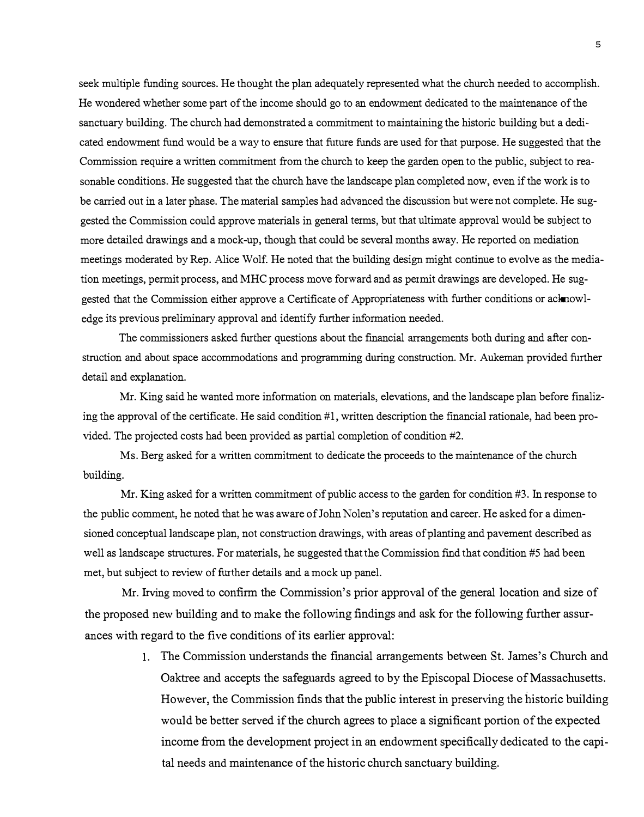seek multiple funding sources. He thought the plan adequately represented what the church needed to accomplish. He wondered whether some part of the income should go to an endowment dedicated to the maintenance of the sanctuary building. The church had demonstrated a commitment to maintaining the historic building but a dedicated endowment fund would be a way to ensure that future funds are used for that purpose. He suggested that the Commission require a written commitment from the church to keep the garden open to the public, sub*j*ect to reasonable conditions. He suggested that the church have the landscape plan completed now*,* even if the work is to be carried out in a later phase. The material samples had advanced the discussion but were not complete. He suggested the Commission could approve materials in general terms, but that ultimate approval would be sub*j*ect to more detailed drawings and a mock*-*up, though that could be several months away. He reported on mediation meetings moderated by Rep. Alice Wolf. He noted that the building design might continue to evolve as the mediation meetings*,* permit process, and MHC process move forward and as permit drawings are developed. He suggested that the Commission either approve a Certificate of Appropriateness with further conditions or acknowledge its previous preliminary approval and identify further information needed.

The commissioners asked further questions about the financial arrangements both during and after construction and about space accommodations and programming during construction. Mr. Aukeman provided further detail and explanation.

Mr. King said he wanted more information on materials, elevations*,* and the landscape plan before finalizing the approval of the certificate. He said condition #1, written description the financial rationale, had been provided. The projected costs had been provided as partial completion of condition #2.

Ms. Berg asked for a written commitment to dedicate the proceeds to the maintenance of the church building.

Mr. King asked for a written commitment of public access to the garden for condition #3. In response to the public comment, he noted that he was aware of John Nolen's reputation and career. He asked for a dimensioned conceptual landscape plan, not construction drawings, with areas of planting and pavement described as well as landscape structures. For materials*,* he suggested that the Commission find that condition #5 had been met, but sub*j*ect to review of further details and a mock up panel.

Mr. Irving moved to confirm the Commission's prior approval of the general location and size of the proposed new building and to make the following findings and ask for the following further assurances with regard to the five conditions of its earlier approval:

> 1. The Commission understands the financial arrangements between St. James's Church and Oaktree and accepts the safeguards agreed to by the Episcopal Diocese of Massachusetts. However, the Commission finds that the public interest in preserving the historic building would be better served if the church agrees to place a significant portion of the expected income from the development project in an endowment specifically dedicated to the capital needs and maintenance of the historic church sanctuary building.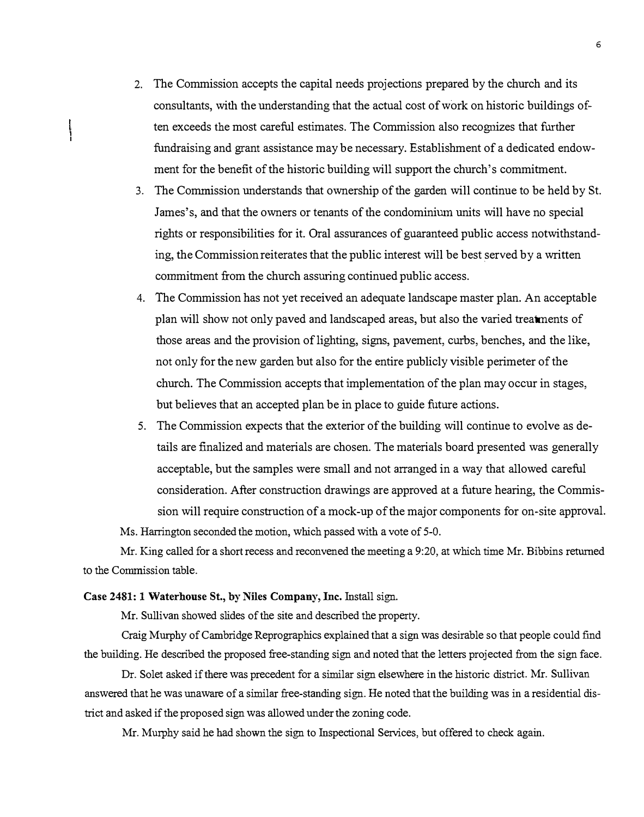- 2. The Commission accepts the capital needs projections prepared by the church and its consultants, with the understanding that the actual cost of work on historic buildings often exceeds the most careful estimates. The Commission also recognizes that further fundraising and grant assistance may be necessary. Establishment of a dedicated endowment for the benefit of the historic building will support the church's commitment.
- 3. The Commission understands that ownership of the garden will continue to be held by St. James' s, and that the owners or tenants of the condominium units will have no special rights or responsibilities for it. Oral assurances of guaranteed public access notwithstanding, the Commission reiterates that the public interest will be best served by a written commitment from the church assuring continued public access.
- 4. The Commission has not yet received an adequate landscape master plan. An acceptable plan will show not only paved and landscaped areas, but also the varied treatments of those areas and the provision oflighting, signs, pavement, curbs, benches, and the like, not only for the new garden but also for the entire publicly visible perimeter of the church. The Commission accepts that implementation of the plan may occur in stages, but believes that an accepted plan be in place to guide future actions.
- 5. The Commission expects that the exterior of the building will continue to evolve as details are finalized and materials are chosen. The materials board presented was generally acceptable, but the samples were small and not arranged in a way that allowed careful consideration. After construction drawings are approved at a future hearing, the Commission will require construction of a mock-up of the major components for on-site approval. Ms. Harrington seconded the motion, which passed with a vote of 5-0.

Mr. King called for a short recess and reconvened the meeting a 9:20, at which time Mr. Bibbins returned to the Commission table.

## Case 2481: 1 Waterhouse St., by Niles Company, Inc. Install sign.

Mr. Sullivan showed slides of the site and described the property.

Craig Murphy of Cambridge Reprographics explained that a sign was desirable so that people could find the building. He described the proposed free-standing sign and noted that the letters projected from the sign face.

Dr. Solet asked if there was precedent for a similar sign elsewhere in the historic district. Mr. Sullivan answered that he was unaware of a similar free-standing sign. He noted that the building was in a residential district and asked if the proposed sign was allowed under the zoning code.

Mr. Murphy said he had shown the sign to Inspectional Services, but offered to check again.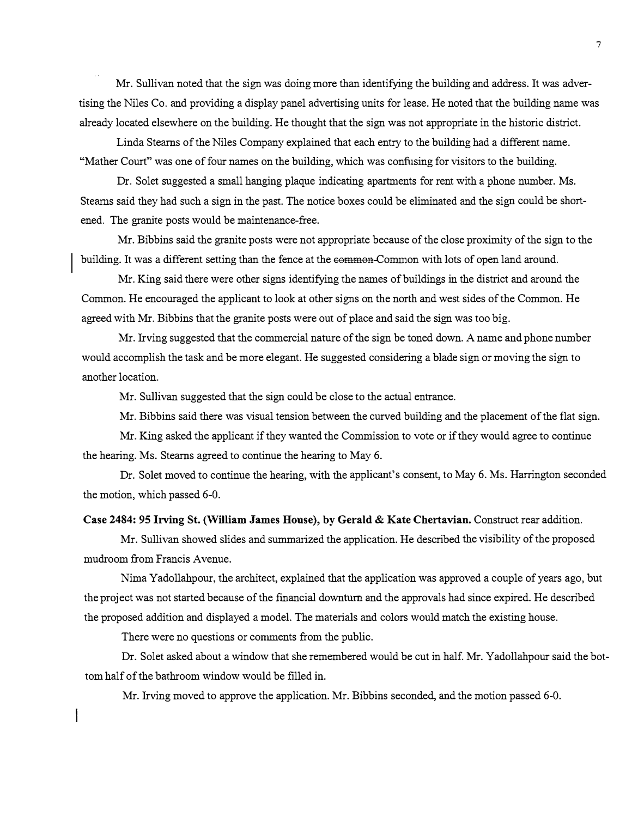Mr. Sullivan noted that the sign was doing more than identifying the building and address. It was advertising the Niles Co. and providing a display panel advertising units for lease. He noted that the building name was already located elsewhere on the building. He thought that the sign was not appropriate in the historic district.

Linda Stearns of the Niles Company explained that each entry to the building had a different name. "Mather Court" was one of four names on the building, which was confusing for visitors to the building.

Dr. Solet suggested a small hanging plaque indicating apartments for rent with a phone number. Ms. Stearns said they had such a sign in the past. The notice boxes could be eliminated and the sign could be shortened. The granite posts would be maintenance-free.

Mr. Bibbins said the granite posts were not appropriate because of the close proximity of the sign to the building. It was a different setting than the fence at the eemmen Connon with lots of open land around.

Mr. King said there were other signs identifying the names of buildings in the district and around the Common. He encouraged the applicant to look at other signs on the north and west sides of the Common. He agreed with Mr. Bibbins that the granite posts were out of place and said the sign was too big.

Mr. Irving suggested that the commercial nature of the sign be toned down. A name and phone number would accomplish the task and be more elegant. He suggested considering a blade sign or moving the sign to another location.

Mr. Sullivan suggested that the sign could be close to the actual entrance.

Mr. Bibbins said there was visual tension between the curved building and the placement of the flat sign.

Mr. King asked the applicant if they wanted the Commission to vote or if they would agree to continue the hearing. Ms. Stearns agreed to continue the hearing to May 6.

Dr. Solet moved to continue the hearing, with the applicant's consent, to May 6. Ms. Harrington seconded the motion, which passed 6-0.

### Case 2484: 95 Irving St. (William James House), by Gerald & Kate Chertavian. Construct rear addition.

Mr. Sullivan showed slides and summarized the application. He described the visibility of the proposed mudroom from Francis Avenue.

Nima Yadollahpour, the architect, explained that the application was approved a couple of years ago, but the project was not started because of the financial downturn and the approvals had since expired. He described the proposed addition and displayed a model. The materials and colors would match the existing house.

There were no questions or connents from the public.

Dr. Solet asked about a window that she remembered would be cut in half. Mr. Yadollahpour said the bottom half of the bathroom window would be filled in.

Mr. Irving moved to approve the application. Mr. Bibbins seconded, and the motion passed 6-0.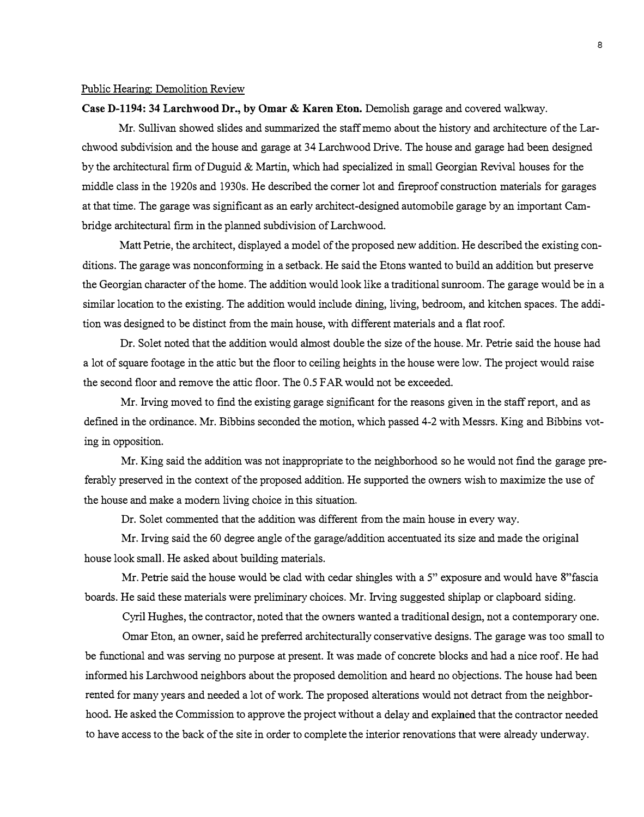### Public Hearing: Demolition Review

### Case D-1194: 34 Larchwood Dr., by Omar & Karen Eton. Demolish garage and covered walkway.

Mr. Sullivan showed slides and summarized the staff memo about the history and architecture of the Larchwood subdivision and the house and garage at 34 Larchwood Drive. The house and garage had been designed by the architectural firm of Duguid & Martin, which had specialized in small Georgian Revival houses for the middle class in the 1920s and 1930s. He described the corner lot and fireproof construction materials for garages at that time. The garage was significant as an early architect-designed automobile garage by an important Cambridge architectural firm in the planned subdivision of Larchwood.

Matt Petrie, the architect, displayed a model of the proposed new addition. He described the existing conditions. The garage was nonconforming in a setback. He said the Etons wanted to build an addition but preserve the Georgian character of the home. The addition would look like a traditional sunroom. The garage would be in a similar location to the existing. The addition would include dining, living, bedroom, and kitchen spaces. The addition was designed to be distinct from the main house, with different materials and a flat roof.

Dr. So let noted that the addition would almost double the size of the house. Mr. Petrie said the house had a lot of square footage in the attic but the floor to ceiling heights in the house were low. The project would raise the second floor and remove the attic floor. The 0.5 FAR would not be exceeded.

Mr. Irving moved to find the existing garage significant for the reasons given in the staff report, and as defmed in the ordinance. Mr. Bibbins seconded the motion, which passed 4-2 with Messrs. King and Bibbins voting in opposition.

Mr. King said the addition was not inappropriate to the neighborhood so he would not find the garage preferably preserved in the context of the proposed addition. He supported the owners wish to maximize the use of the house and make a modern living choice in this situation.

Dr. Solet commented that the addition was different from the main house in every way.

Mr. Irving said the 60 degree angle of the garage/addition accentuated its size and made the original house look small. He asked about building materials.

Mr. Petrie said the house would be clad with cedar shingles with a 5" exposure and would have 8"fascia boards. He said these materials were preliminary choices. Mr. Irving suggested shiplap or clapboard siding.

Cyril Hughes, the contractor, noted that the owners wanted a traditional design, not a contemporary one.

Omar Eton, an owner, said he preferred architecturally conservative designs. The garage was too small to be functional and was serving no purpose at present. It was made of concrete blocks and had a nice roof. He had informed his Larchwood neighbors about the proposed demolition and heard no objections. The house had been rented for many years and needed a lot of work. The proposed alterations would not detract from the neighborhood. He asked the Commission to approve the project without a delay and explained that the contractor needed to have access to the back of the site in order to complete the interior renovations that were already underway.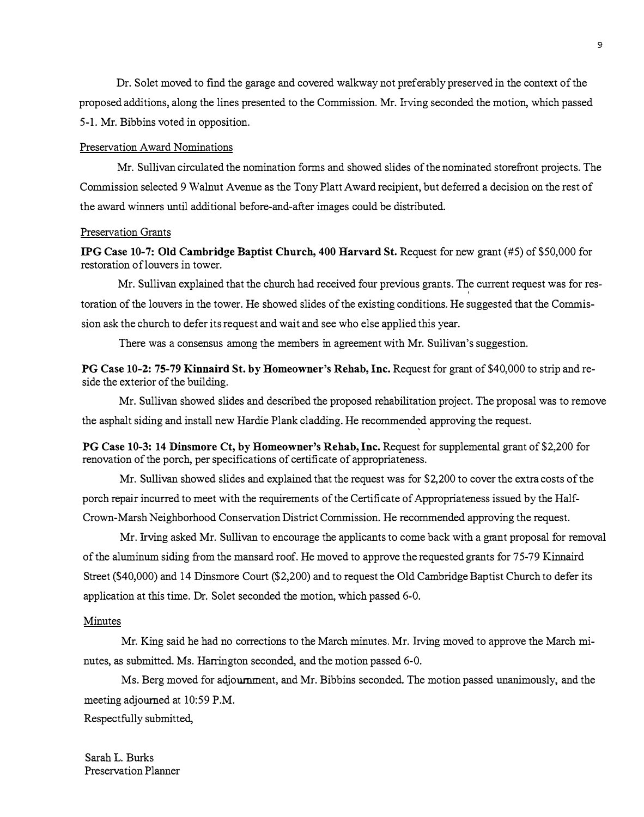Dr. So let moved to find the garage and covered walkway not preferably preserved in the context of the proposed additions, along the lines presented to the Commission. Mr. Irving seconded the motion, which passed 5-1. Mr. Bibbins voted in opposition.

### Preservation Award Nominations

Mr. Sullivan circulated the nomination forms and showed slides of the nominated storefront projects. The Commission selected 9 Walnut Avenue as the Tony Platt Award recipient, but deferred a decision on the rest of the award winners until additional before-and-after images could be distributed.

# Preservation Grants

IPG Case 10-7: Old Cambridge Baptist Church, 400 Harvard St. Request for new grant (#5) of \$50,000 for restoration oflouvers in tower.

Mr. Sullivan explained that the church had received four previous grants. The current request was for restoration of the louvers in the tower. He showed slides of the existing conditions. He suggested that the Commission ask the church to defer its request and wait and see who else applied this year.

There was a consensus among the members in agreement with Mr. Sullivan's suggestion.

PG Case 10-2: 75-79 Kinnaird St. by Homeowner's Rehab, Inc. Request for grant of \$40,000 to strip and reside the exterior of the building.

Mr. Sullivan showed slides and described the proposed rehabilitation project. The proposal was to remove the asphalt siding and install new Hardie Plank cladding. He recommended approving the request.

PG Case **10-3:** 14 Dinsmore Ct, by Homeowner's Rehab, Inc. Request for supplemental grant of \$2,200 for renovation of the porch, per specifications of certificate of appropriateness.

Mr. Sullivan showed slides and explained that the request was for \$2,200 to cover the extra costs of the porch repair incurred to meet with the requirements of the Certificate of Appropriateness issued by the Half-Crown-Marsh Neighborhood Conservation District Commission. He recommended approving the request.

Mr. Irving asked Mr. Sullivan to encourage the applicants to come back with a grant proposal for removal of the aluminum siding from the mansard roof. He moved to approve the requested grants for 75-79 Kinnaird Street (\$40,000) and 14 Dinsmore Court (\$2,200) and to request the Old Cambridge Baptist Church to defer its application at this time. Dr. Solet seconded the motion, which passed 6-0.

### Minutes

Mr. King said he had no corrections to the March minutes. Mr. Irving moved to approve the March minutes, as submitted. Ms. Harrington seconded, and the motion passed 6-0.

Ms. Berg moved for adjournment, and Mr. Bibbins seconded. The motion passed unanimously, and the meeting adjourned at 10:59 P.M.

Respectfully submitted,

Sarah L. Burks Preservation Planner